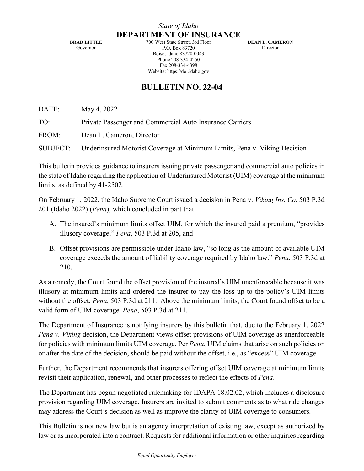*State of Idaho* **DEPARTMENT OF INSURANCE**

**BRAD LITTLE** Governor

700 West State Street, 3rd Floor P.O. Box 83720 Boise, Idaho 83720-0043 Phone 208-334-4250 Fax 208-334-4398 Website: https://doi.idaho.gov

**DEAN L. CAMERON** Director

## **BULLETIN NO. 22-04**

DATE: May 4, 2022

TO: Private Passenger and Commercial Auto Insurance Carriers

FROM: Dean L. Cameron, Director

SUBJECT: Underinsured Motorist Coverage at Minimum Limits, Pena v. Viking Decision

This bulletin provides guidance to insurers issuing private passenger and commercial auto policies in the state of Idaho regarding the application of Underinsured Motorist (UIM) coverage at the minimum limits, as defined by 41-2502.

On February 1, 2022, the Idaho Supreme Court issued a decision in Pena v. *Viking Ins. Co*, 503 P.3d 201 (Idaho 2022) (*Pena*), which concluded in part that:

- A. The insured's minimum limits offset UIM, for which the insured paid a premium, "provides illusory coverage;" *Pena*, 503 P.3d at 205, and
- B. Offset provisions are permissible under Idaho law, "so long as the amount of available UIM coverage exceeds the amount of liability coverage required by Idaho law." *Pena*, 503 P.3d at 210.

As a remedy, the Court found the offset provision of the insured's UIM unenforceable because it was illusory at minimum limits and ordered the insurer to pay the loss up to the policy's UIM limits without the offset. *Pena*, 503 P.3d at 211. Above the minimum limits, the Court found offset to be a valid form of UIM coverage. *Pena*, 503 P.3d at 211.

The Department of Insurance is notifying insurers by this bulletin that, due to the February 1, 2022 *Pena v. Viking* decision, the Department views offset provisions of UIM coverage as unenforceable for policies with minimum limits UIM coverage. Per *Pena*, UIM claims that arise on such policies on or after the date of the decision, should be paid without the offset, i.e., as "excess" UIM coverage.

Further, the Department recommends that insurers offering offset UIM coverage at minimum limits revisit their application, renewal, and other processes to reflect the effects of *Pena*.

The Department has begun negotiated rulemaking for IDAPA 18.02.02, which includes a disclosure provision regarding UIM coverage. Insurers are invited to submit comments as to what rule changes may address the Court's decision as well as improve the clarity of UIM coverage to consumers.

This Bulletin is not new law but is an agency interpretation of existing law, except as authorized by law or as incorporated into a contract. Requests for additional information or other inquiries regarding